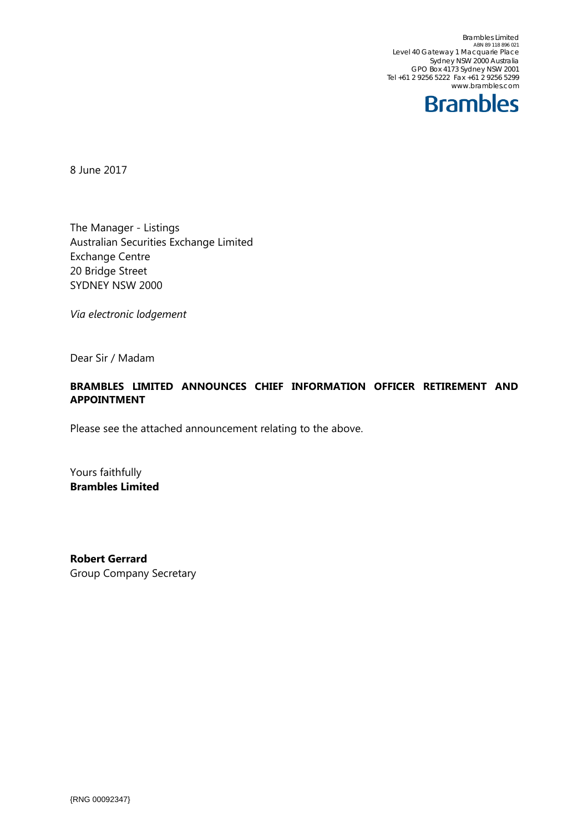Brambles Limited<br>ABN 89 118 896 021 Level 40 Gateway 1 Macquarie Place Sydney NSW 2000 Australia GPO Box 4173 Sydney NSW 2001 Tel +61 2 9256 5222 Fax +61 2 9256 5299 www.brambles.com



8 June 2017

The Manager - Listings Australian Securities Exchange Limited Exchange Centre 20 Bridge Street SYDNEY NSW 2000

*Via electronic lodgement*

Dear Sir / Madam

## **BRAMBLES LIMITED ANNOUNCES CHIEF INFORMATION OFFICER RETIREMENT AND APPOINTMENT**

Please see the attached announcement relating to the above.

Yours faithfully **Brambles Limited** 

**Robert Gerrard**  Group Company Secretary